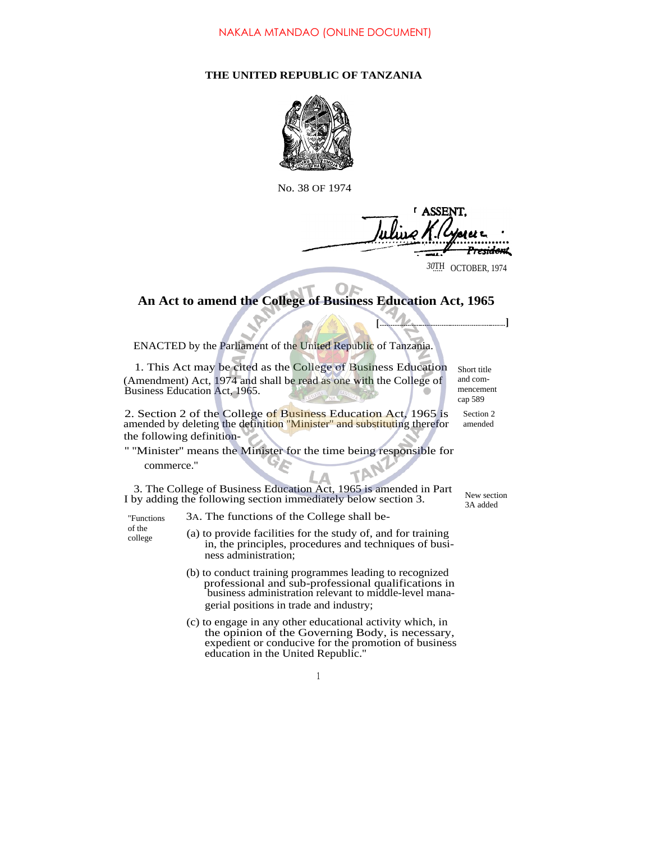## **THE UNITED REPUBLIC OF TANZANIA**



No. 38 OF 1974

**ASSENT** <del>esidon</del>t 30TH OCTOBER, 1974

**[ ]**

## **An Act to amend the College of Business Education Act, 1965**

ENACTED by the Parliament of the United Republic of Tanzania.

1. This Act may be cited as the College of Business Education (Amendment) Act, 1974 and shall be read as one with the College of Business Education Act, 1965.

2. Section 2 of the College of Business Education Act, 1965 is amended by deleting the definition "Minister" and substituting therefor the following definition-

## '' ''Minister'' means the Minister for the time being responsible for commerce.''

3. The College of Business Education Act, 1965 is amended in Part I by adding the following section immediately below section 3.

"Functions of the college

- 3A. The functions of the College shall be-
- (a) to provide facilities for the study of, and for training in, the principles, procedures and techniques of business administration;
	- (b) to conduct training programmes leading to recognized professional and sub-professional qualifications in business administration relevant to middle-level managerial positions in trade and industry;
	- (c) to engage in any other educational activity which, in the opinion of the Governing Body, is necessary, expedient or conducive for the promotion of business education in the United Republic.''

Section 2 amended cap 589

Short title and commencement

> New section 3A added

1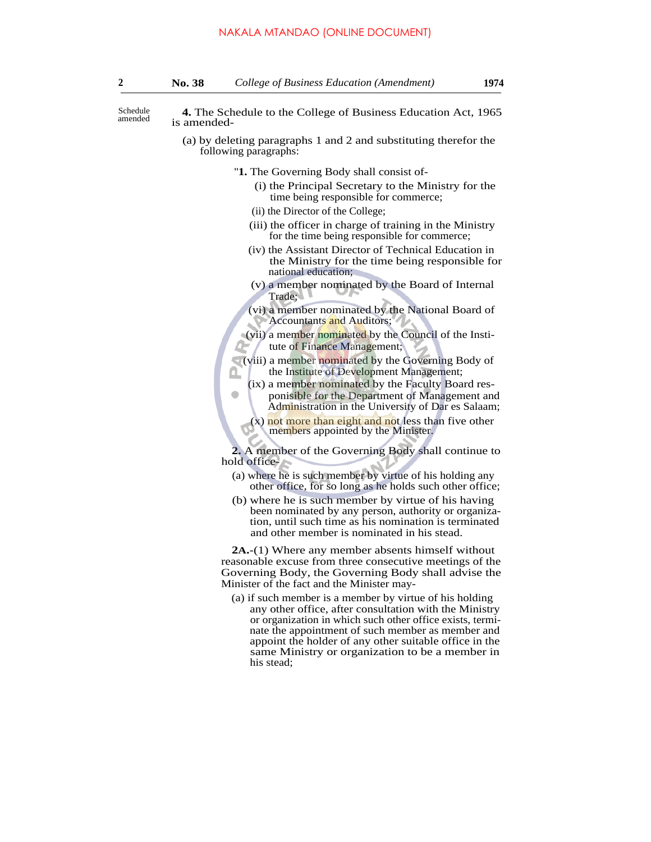**4.** The Schedule to the College of Business Education Act, 1965 is amended-Schedule amended

- (a) by deleting paragraphs 1 and 2 and substituting therefor the following paragraphs:
	- ''**1.** The Governing Body shall consist of-
		- (i) the Principal Secretary to the Ministry for the time being responsible for commerce;
		- (ii) the Director of the College;

 $\bullet$ 

- (iii) the officer in charge of training in the Ministry for the time being responsible for commerce;
- (iv) the Assistant Director of Technical Education in the Ministry for the time being responsible for national education;
- (v) a member nominated by the Board of Internal Trade;
- (vi) a member nominated by the National Board of Accountants and Auditors;
- (vii) a member nominated by the Council of the Institute of Finance Management;
- (viii) a member nominated by the Governing Body of the Institute of Development Management; Ω
	- (ix) a member nominated by the Faculty Board responisible for the Department of Management and Administration in the University of Dar es Salaam;
	- $(x)$  not more than eight and not less than five other members appointed by the Minister.

**2.** A member of the Governing Body shall continue to hold office-

- (a) where he is such member by virtue of his holding any other office, for so long as he holds such other office;
- (b) where he is such member by virtue of his having been nominated by any person, authority or organization, until such time as his nomination is terminated and other member is nominated in his stead.

**2A.**-(1) Where any member absents himself without reasonable excuse from three consecutive meetings of the Governing Body, the Governing Body shall advise the Minister of the fact and the Minister may-

(a) if such member is a member by virtue of his holding any other office, after consultation with the Ministry or organization in which such other office exists, terminate the appointment of such member as member and appoint the holder of any other suitable office in the same Ministry or organization to be a member in his stead;